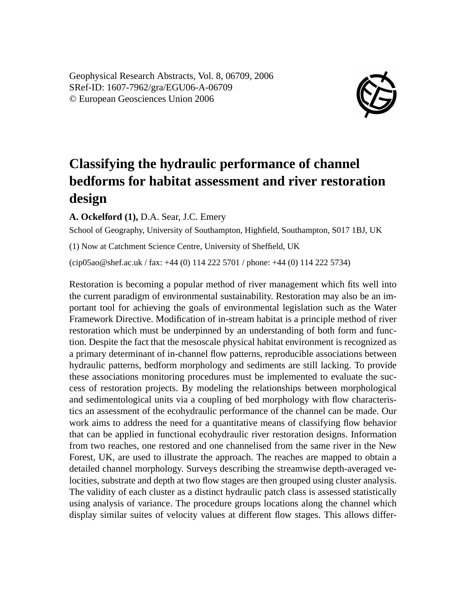Geophysical Research Abstracts, Vol. 8, 06709, 2006 SRef-ID: 1607-7962/gra/EGU06-A-06709 © European Geosciences Union 2006



## **Classifying the hydraulic performance of channel bedforms for habitat assessment and river restoration design**

**A. Ockelford (1),** D.A. Sear, J.C. Emery

School of Geography, University of Southampton, Highfield, Southampton, S017 1BJ, UK

(1) Now at Catchment Science Centre, University of Sheffield, UK

(cip05ao@shef.ac.uk / fax: +44 (0) 114 222 5701 / phone: +44 (0) 114 222 5734)

Restoration is becoming a popular method of river management which fits well into the current paradigm of environmental sustainability. Restoration may also be an important tool for achieving the goals of environmental legislation such as the Water Framework Directive. Modification of in-stream habitat is a principle method of river restoration which must be underpinned by an understanding of both form and function. Despite the fact that the mesoscale physical habitat environment is recognized as a primary determinant of in-channel flow patterns, reproducible associations between hydraulic patterns, bedform morphology and sediments are still lacking. To provide these associations monitoring procedures must be implemented to evaluate the success of restoration projects. By modeling the relationships between morphological and sedimentological units via a coupling of bed morphology with flow characteristics an assessment of the ecohydraulic performance of the channel can be made. Our work aims to address the need for a quantitative means of classifying flow behavior that can be applied in functional ecohydraulic river restoration designs. Information from two reaches, one restored and one channelised from the same river in the New Forest, UK, are used to illustrate the approach. The reaches are mapped to obtain a detailed channel morphology. Surveys describing the streamwise depth-averaged velocities, substrate and depth at two flow stages are then grouped using cluster analysis. The validity of each cluster as a distinct hydraulic patch class is assessed statistically using analysis of variance. The procedure groups locations along the channel which display similar suites of velocity values at different flow stages. This allows differ-